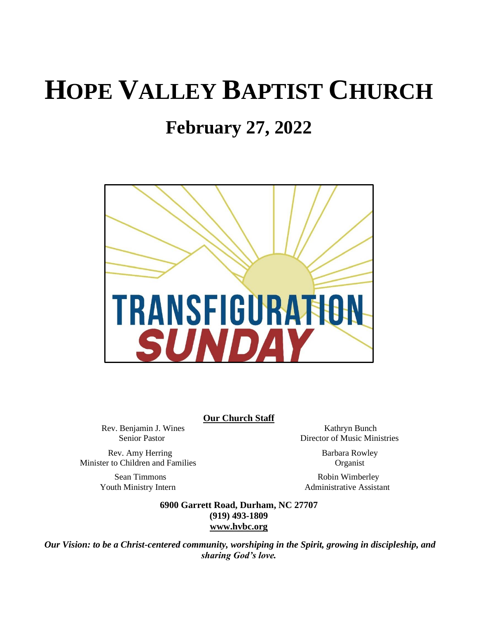# **HOPE VALLEY BAPTIST CHURCH**

# **February 27, 2022**



**Our Church Staff**

Rev. Benjamin J. Wines Kathryn Bunch

Senior Pastor Director of Music Ministries

Rev. Amy Herring Barbara Rowley Minister to Children and Families Organist

Sean Timmons Robin Wimberley Youth Ministry Intern **Administrative Assistant** 

> **6900 Garrett Road, Durham, NC 27707 (919) 493-1809 [www.hvbc.org](https://nam02.safelinks.protection.outlook.com/?url=http%3A%2F%2Fwww.hvbc.org%2F&data=04%7C01%7Crobin%40hvbc.org%7Ca1947220efe048d45f2008d90f3f5013%7C19334143b857471a909f515a9e93cce3%7C0%7C0%7C637557586922368739%7CUnknown%7CTWFpbGZsb3d8eyJWIjoiMC4wLjAwMDAiLCJQIjoiV2luMzIiLCJBTiI6Ik1haWwiLCJXVCI6Mn0%3D%7C1000&sdata=vD8UY%2Ft%2Bw4fHfO%2FGyoDO3ShGm4jsX4L5zIVu36neNyk%3D&reserved=0)**

*Our Vision: to be a Christ-centered community, worshiping in the Spirit, growing in discipleship, and sharing God's love.*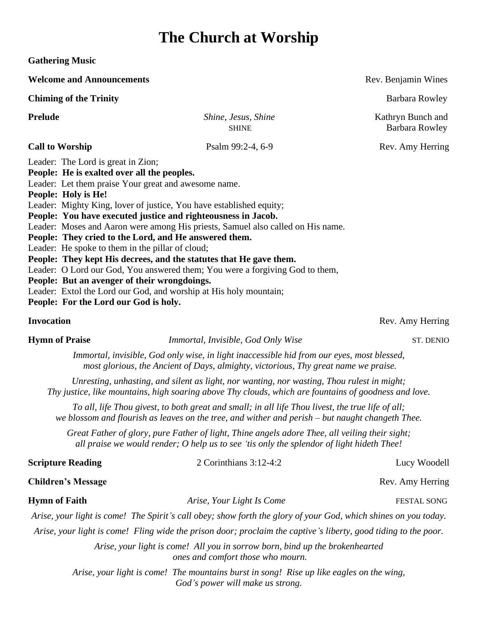# **The Church at Worship**

**Gathering Music**

**Welcome and Announcements Rev. Benjamin Wines Rev. Benjamin Wines Chiming of the Trinity** Barbara Rowley **Prelude** *Shine, Jesus, Shine*Kathryn Bunch and **SHINE Barbara Rowley Call to Worship** Psalm 99:2-4, 6-9 Rev. Amy Herring Leader: The Lord is great in Zion; **People: He is exalted over all the peoples.** Leader: Let them praise Your great and awesome name. **People: Holy is He!** Leader: Mighty King, lover of justice, You have established equity; **People: You have executed justice and righteousness in Jacob.** Leader: Moses and Aaron were among His priests, Samuel also called on His name. **People: They cried to the Lord, and He answered them.** Leader: He spoke to them in the pillar of cloud; **People: They kept His decrees, and the statutes that He gave them.** Leader: O Lord our God, You answered them; You were a forgiving God to them, **People: But an avenger of their wrongdoings.** Leader: Extol the Lord our God, and worship at His holy mountain; **People: For the Lord our God is holy.**

### **Invocation** Rev. Amy Herring

**Hymn of Praise** *<i>Immortal, Invisible, God Only Wise* ST. DENIO

*Immortal, invisible, God only wise, in light inaccessible hid from our eyes, most blessed, most glorious, the Ancient of Days, almighty, victorious, Thy great name we praise.*

*Unresting, unhasting, and silent as light, nor wanting, nor wasting, Thou rulest in might; Thy justice, like mountains, high soaring above Thy clouds, which are fountains of goodness and love.*

*To all, life Thou givest, to both great and small; in all life Thou livest, the true life of all; we blossom and flourish as leaves on the tree, and wither and perish – but naught changeth Thee.*

*Great Father of glory, pure Father of light, Thine angels adore Thee, all veiling their sight; all praise we would render; O help us to see 'tis only the splendor of light hideth Thee!*

| <b>Scripture Reading</b>  | 2 Corinthians $3:12-4:2$                                                                                          | Lucy Woodell       |
|---------------------------|-------------------------------------------------------------------------------------------------------------------|--------------------|
| <b>Children's Message</b> |                                                                                                                   | Rev. Amy Herring   |
| <b>Hymn of Faith</b>      | Arise, Your Light Is Come                                                                                         | <b>FESTAL SONG</b> |
|                           | Arise, your light is come! The Spirit's call obey; show forth the glory of your God, which shines on you today.   |                    |
|                           | Arise, your light is come! Fling wide the prison door; proclaim the captive's liberty, good tiding to the poor.   |                    |
|                           | Arise, your light is come! All you in sorrow born, bind up the brokenhearted<br>ones and comfort those who mourn. |                    |
|                           | Arise, your light is come! The mountains burst in song! Rise up like eagles on the wing,                          |                    |

*God's power will make us strong.*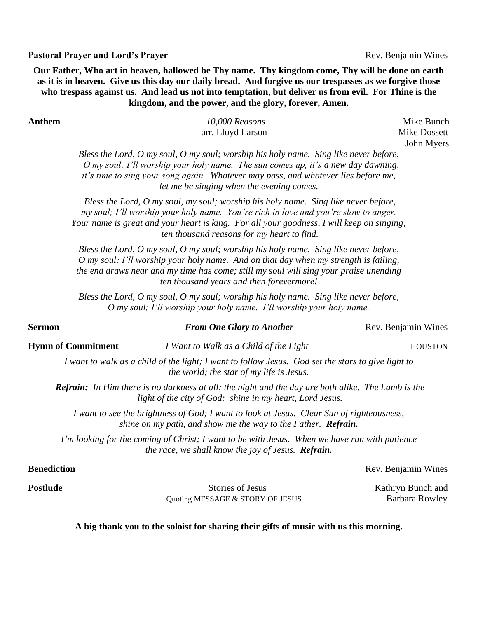### **Pastoral Prayer and Lord's Prayer Rev. Benjamin Wines Rev. Benjamin Wines**

**Our Father, Who art in heaven, hallowed be Thy name. Thy kingdom come, Thy will be done on earth as it is in heaven. Give us this day our daily bread. And forgive us our trespasses as we forgive those who trespass against us. And lead us not into temptation, but deliver us from evil. For Thine is the kingdom, and the power, and the glory, forever, Amen.**

**Anthem** *10,000 Reasons*Mike Bunch arr. Lloyd Larson Mike Dossett

John Myers

*Bless the Lord, O my soul, O my soul; worship his holy name. Sing like never before, O my soul; I'll worship your holy name. The sun comes up, it's a new day dawning, it's time to sing your song again. Whatever may pass, and whatever lies before me, let me be singing when the evening comes.* 

*Bless the Lord, O my soul, my soul; worship his holy name. Sing like never before, my soul; I'll worship your holy name. You're rich in love and you're slow to anger. Your name is great and your heart is king. For all your goodness, I will keep on singing; ten thousand reasons for my heart to find.* 

*Bless the Lord, O my soul, O my soul; worship his holy name. Sing like never before, O my soul; I'll worship your holy name. And on that day when my strength is failing, the end draws near and my time has come; still my soul will sing your praise unending ten thousand years and then forevermore!*

*Bless the Lord, O my soul, O my soul; worship his holy name. Sing like never before, O my soul; I'll worship your holy name. I'll worship your holy name.*

### **Sermon** *From One Glory to Another Rev. Benjamin Wines*

**Hymn of Commitment** *<i>I Want to Walk as a Child of the Light HOUSTON* 

*I want to walk as a child of the light; I want to follow Jesus. God set the stars to give light to the world; the star of my life is Jesus.* 

*Refrain: In Him there is no darkness at all; the night and the day are both alike. The Lamb is the light of the city of God: shine in my heart, Lord Jesus.*

*I want to see the brightness of God; I want to look at Jesus. Clear Sun of righteousness, shine on my path, and show me the way to the Father. Refrain.*

*I'm looking for the coming of Christ; I want to be with Jesus. When we have run with patience the race, we shall know the joy of Jesus. Refrain.*

**Postlude** Stories of JesusKathryn Bunch and *Ouoting MESSAGE & STORY OF JESUS* Barbara Rowley

**Benediction** Rev. Benjamin Wines

**A big thank you to the soloist for sharing their gifts of music with us this morning.**